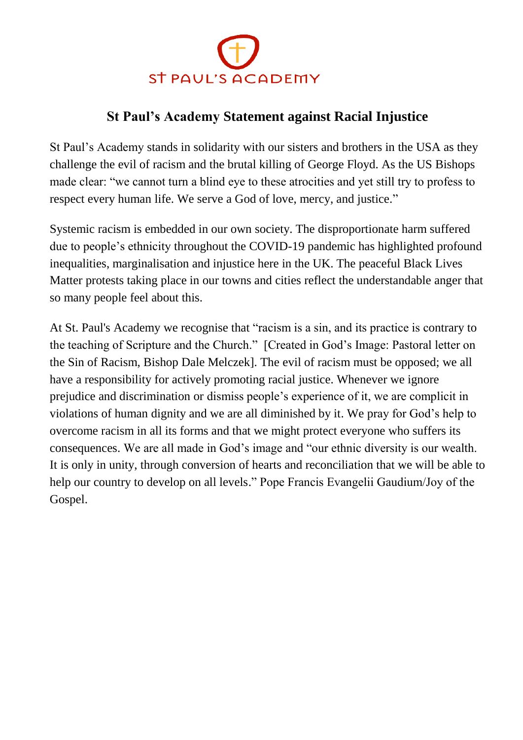

## **St Paul's Academy Statement against Racial Injustice**

St Paul's Academy stands in solidarity with our sisters and brothers in the USA as they challenge the evil of racism and the brutal killing of George Floyd. As the US Bishops made clear: "we cannot turn a blind eye to these atrocities and yet still try to profess to respect every human life. We serve a God of love, mercy, and justice."

Systemic racism is embedded in our own society. The disproportionate harm suffered due to people's ethnicity throughout the COVID-19 pandemic has highlighted profound inequalities, marginalisation and injustice here in the UK. The peaceful Black Lives Matter protests taking place in our towns and cities reflect the understandable anger that so many people feel about this.

At St. Paul's Academy we recognise that "racism is a sin, and its practice is contrary to the teaching of Scripture and the Church." [Created in God's Image: Pastoral letter on the Sin of Racism, Bishop Dale Melczek]. The evil of racism must be opposed; we all have a responsibility for actively promoting racial justice. Whenever we ignore prejudice and discrimination or dismiss people's experience of it, we are complicit in violations of human dignity and we are all diminished by it. We pray for God's help to overcome racism in all its forms and that we might protect everyone who suffers its consequences. We are all made in God's image and "our ethnic diversity is our wealth. It is only in unity, through conversion of hearts and reconciliation that we will be able to help our country to develop on all levels." Pope Francis Evangelii Gaudium/Joy of the Gospel.